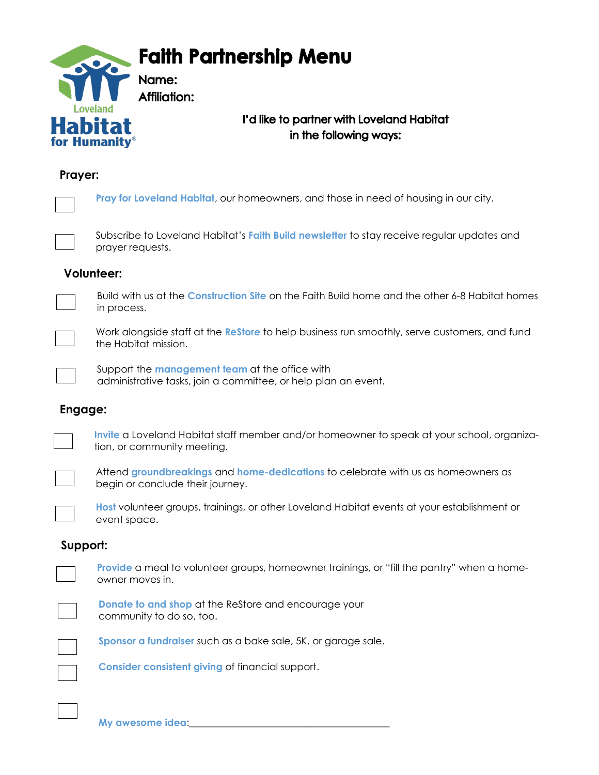

## **Prayer:**

| Pray for Loveland Habitat, our homeowners, and those in need of housing in our city.  |
|---------------------------------------------------------------------------------------|
| Subscribe to Loveland Habitat's Faith Build newsletter to stay receive regular update |

o Loveland Habitat's Faith Build newsletter to stay receive regular updates and prayer requests.

### **Volunteer:**



 $\mathcal{L}(\mathcal{L})$ 

Build with us at the **Construction Site** on the Faith Build home and the other 6-8 Habitat homes in process.



Work alongside staff at the **ReStore** to help business run smoothly, serve customers, and fund the Habitat mission.



Support the **management team** at the office with administrative tasks, join a committee, or help plan an event.

### **Engage:**



**Invite** a Loveland Habitat staff member and/or homeowner to speak at your school, organization, or community meeting.



Attend **groundbreakings** and **home-dedications** to celebrate with us as homeowners as begin or conclude their journey.

**Host** volunteer groups, trainings, or other Loveland Habitat events at your establishment or event space.

### **Support:**



**Provide** a meal to volunteer groups, homeowner trainings, or "fill the pantry" when a homeowner moves in.



**Donate to and shop** at the ReStore and encourage your community to do so, too.



**Sponsor a fundraiser** such as a bake sale, 5K, or garage sale.

**Consider consistent giving** of financial support.

**My awesome idea**:\_\_\_\_\_\_\_\_\_\_\_\_\_\_\_\_\_\_\_\_\_\_\_\_\_\_\_\_\_\_\_\_\_\_\_\_\_\_\_\_\_